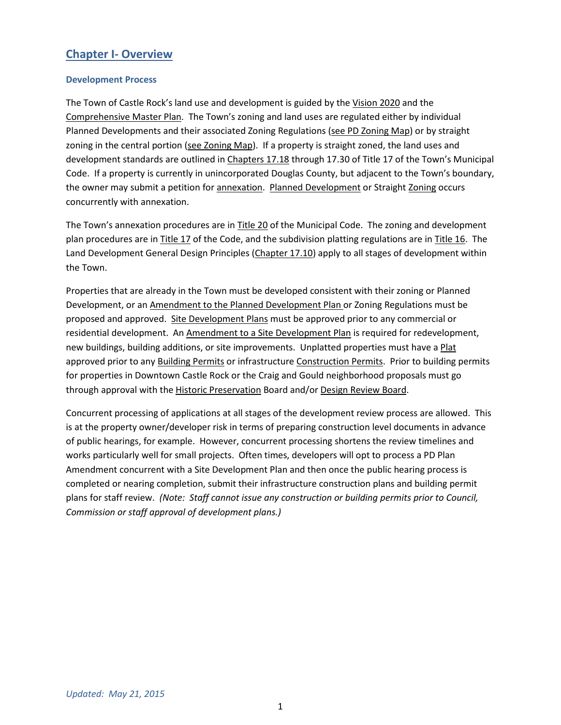# **Chapter I- Overview**

#### **Development Process**

The Town of Castle Rock's land use and development is guided by the Vision 2020 and the Comprehensive Master Plan. The Town's zoning and land uses are regulated either by individual Planned Developments and their associated Zoning Regulations (see PD Zoning Map) or by straight zoning in the central portion (see Zoning Map). If a property is straight zoned, the land uses and development standards are outlined in Chapters 17.18 through 17.30 of Title 17 of the Town's Municipal Code. If a property is currently in unincorporated Douglas County, but adjacent to the Town's boundary, the owner may submit a petition for annexation. Planned Development or Straight Zoning occurs concurrently with annexation.

The Town's annexation procedures are in Title 20 of the Municipal Code. The zoning and development plan procedures are in Title 17 of the Code, and the subdivision platting regulations are in Title 16. The Land Development General Design Principles (Chapter 17.10) apply to all stages of development within the Town.

Properties that are already in the Town must be developed consistent with their zoning or Planned Development, or an Amendment to the Planned Development Plan or Zoning Regulations must be proposed and approved. Site Development Plans must be approved prior to any commercial or residential development. An Amendment to a Site Development Plan is required for redevelopment, new buildings, building additions, or site improvements. Unplatted properties must have a Plat approved prior to any Building Permits or infrastructure Construction Permits. Prior to building permits for properties in Downtown Castle Rock or the Craig and Gould neighborhood proposals must go through approval with the Historic Preservation Board and/or Design Review Board.

Concurrent processing of applications at all stages of the development review process are allowed. This is at the property owner/developer risk in terms of preparing construction level documents in advance of public hearings, for example. However, concurrent processing shortens the review timelines and works particularly well for small projects. Often times, developers will opt to process a PD Plan Amendment concurrent with a Site Development Plan and then once the public hearing process is completed or nearing completion, submit their infrastructure construction plans and building permit plans for staff review. *(Note: Staff cannot issue any construction or building permits prior to Council, Commission or staff approval of development plans.)*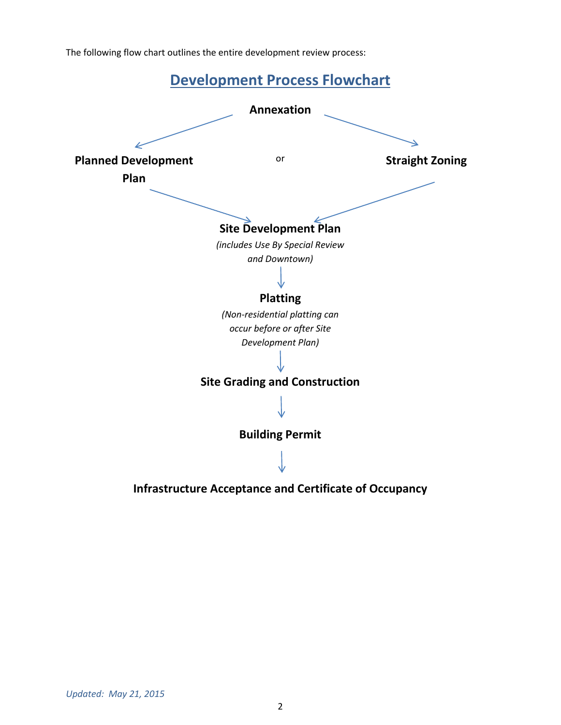The following flow chart outlines the entire development review process:



**Infrastructure Acceptance and Certificate of Occupancy**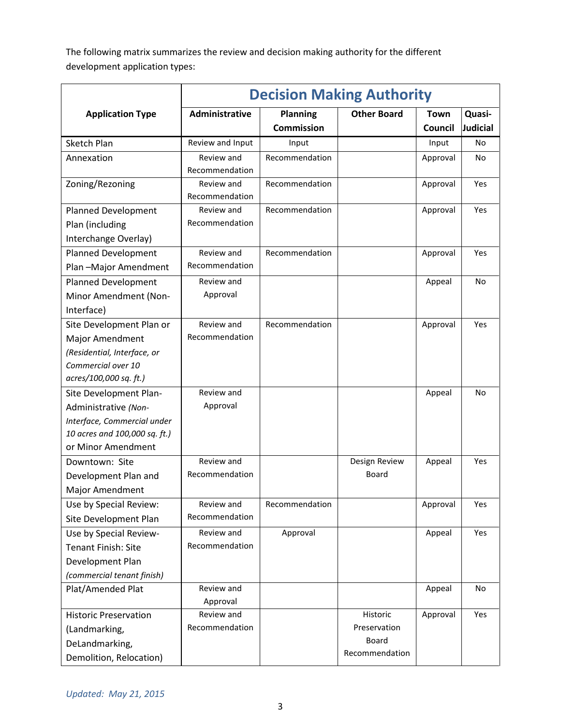The following matrix summarizes the review and decision making authority for the different development application types:

|                               | <b>Decision Making Authority</b> |                   |                         |          |                 |  |  |
|-------------------------------|----------------------------------|-------------------|-------------------------|----------|-----------------|--|--|
| <b>Application Type</b>       | Administrative                   | <b>Planning</b>   | <b>Other Board</b>      | Town     | Quasi-          |  |  |
|                               |                                  | <b>Commission</b> |                         | Council  | <b>Judicial</b> |  |  |
| Sketch Plan                   | Review and Input                 | Input             |                         | Input    | No              |  |  |
| Annexation                    | Review and                       | Recommendation    |                         | Approval | <b>No</b>       |  |  |
|                               | Recommendation                   |                   |                         |          |                 |  |  |
| Zoning/Rezoning               | Review and<br>Recommendation     | Recommendation    |                         | Approval | Yes             |  |  |
| <b>Planned Development</b>    | Review and                       | Recommendation    |                         | Approval | Yes             |  |  |
| Plan (including               | Recommendation                   |                   |                         |          |                 |  |  |
| Interchange Overlay)          |                                  |                   |                         |          |                 |  |  |
| <b>Planned Development</b>    | Review and                       | Recommendation    |                         | Approval | Yes             |  |  |
| Plan-Major Amendment          | Recommendation                   |                   |                         |          |                 |  |  |
| <b>Planned Development</b>    | Review and                       |                   |                         | Appeal   | <b>No</b>       |  |  |
| Minor Amendment (Non-         | Approval                         |                   |                         |          |                 |  |  |
| Interface)                    |                                  |                   |                         |          |                 |  |  |
| Site Development Plan or      | Review and                       | Recommendation    |                         | Approval | Yes             |  |  |
| Major Amendment               | Recommendation                   |                   |                         |          |                 |  |  |
| (Residential, Interface, or   |                                  |                   |                         |          |                 |  |  |
| Commercial over 10            |                                  |                   |                         |          |                 |  |  |
| acres/100,000 sq. ft.)        |                                  |                   |                         |          |                 |  |  |
| Site Development Plan-        | Review and                       |                   |                         | Appeal   | <b>No</b>       |  |  |
| Administrative (Non-          | Approval                         |                   |                         |          |                 |  |  |
| Interface, Commercial under   |                                  |                   |                         |          |                 |  |  |
| 10 acres and 100,000 sq. ft.) |                                  |                   |                         |          |                 |  |  |
| or Minor Amendment            |                                  |                   |                         |          |                 |  |  |
| Downtown: Site                | Review and                       |                   | Design Review           | Appeal   | Yes             |  |  |
| Development Plan and          | Recommendation                   |                   | Board                   |          |                 |  |  |
| <b>Major Amendment</b>        |                                  |                   |                         |          |                 |  |  |
| Use by Special Review:        | Review and                       | Recommendation    |                         | Approval | Yes             |  |  |
| Site Development Plan         | Recommendation                   |                   |                         |          |                 |  |  |
| Use by Special Review-        | Review and                       | Approval          |                         | Appeal   | Yes             |  |  |
| <b>Tenant Finish: Site</b>    | Recommendation                   |                   |                         |          |                 |  |  |
| Development Plan              |                                  |                   |                         |          |                 |  |  |
| (commercial tenant finish)    |                                  |                   |                         |          |                 |  |  |
| Plat/Amended Plat             | Review and                       |                   |                         | Appeal   | No              |  |  |
|                               | Approval                         |                   |                         |          |                 |  |  |
| <b>Historic Preservation</b>  | Review and                       |                   | Historic                | Approval | Yes             |  |  |
| (Landmarking,                 | Recommendation                   |                   | Preservation            |          |                 |  |  |
| DeLandmarking,                |                                  |                   | Board<br>Recommendation |          |                 |  |  |
| Demolition, Relocation)       |                                  |                   |                         |          |                 |  |  |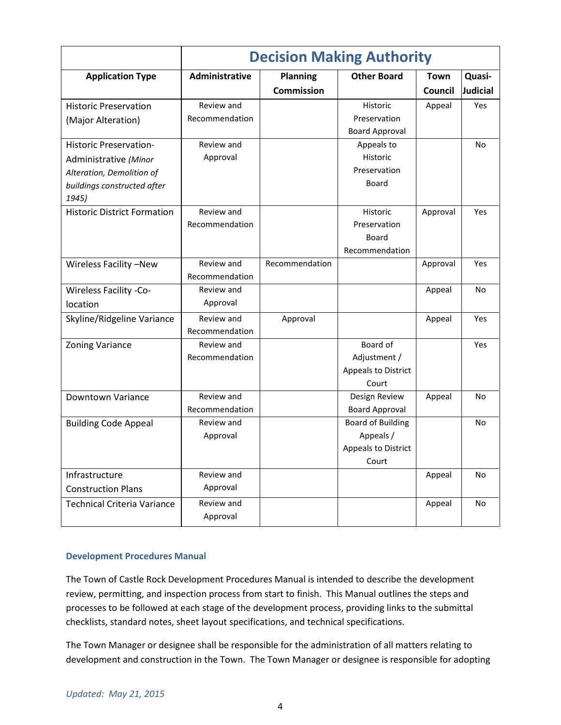|                                      | <b>Decision Making Authority</b> |                                      |                              |                        |                    |  |  |
|--------------------------------------|----------------------------------|--------------------------------------|------------------------------|------------------------|--------------------|--|--|
| <b>Application Type</b>              | Administrative                   | <b>Planning</b><br><b>Commission</b> | <b>Other Board</b>           | <b>Town</b><br>Council | Quasi-<br>Judicial |  |  |
| <b>Historic Preservation</b>         | Review and                       |                                      | Historic                     | Appeal                 | Yes                |  |  |
| (Major Alteration)                   | Recommendation                   |                                      | Preservation                 |                        |                    |  |  |
|                                      |                                  |                                      | <b>Board Approval</b>        |                        |                    |  |  |
| <b>Historic Preservation-</b>        | Review and                       |                                      | Appeals to                   |                        | No                 |  |  |
| Administrative (Minor                | Approval                         |                                      | Historic                     |                        |                    |  |  |
| Alteration, Demolition of            |                                  |                                      | Preservation                 |                        |                    |  |  |
| buildings constructed after<br>1945) |                                  |                                      | Board                        |                        |                    |  |  |
| <b>Historic District Formation</b>   | Review and                       |                                      | Historic                     | Approval               | Yes                |  |  |
|                                      | Recommendation                   |                                      | Preservation                 |                        |                    |  |  |
|                                      |                                  |                                      | Board                        |                        |                    |  |  |
|                                      |                                  |                                      | Recommendation               |                        |                    |  |  |
| Wireless Facility -New               | Review and                       | Recommendation                       |                              | Approval               | Yes                |  |  |
|                                      | Recommendation                   |                                      |                              |                        |                    |  |  |
| <b>Wireless Facility -Co-</b>        | Review and                       |                                      |                              | Appeal                 | <b>No</b>          |  |  |
| location                             | Approval                         |                                      |                              |                        |                    |  |  |
| Skyline/Ridgeline Variance           | Review and                       | Approval                             |                              | Appeal                 | Yes                |  |  |
|                                      | Recommendation                   |                                      |                              |                        |                    |  |  |
| <b>Zoning Variance</b>               | Review and                       |                                      | Board of                     |                        | Yes                |  |  |
|                                      | Recommendation                   |                                      | Adjustment /                 |                        |                    |  |  |
|                                      |                                  |                                      | Appeals to District          |                        |                    |  |  |
|                                      |                                  |                                      | Court                        |                        |                    |  |  |
| Downtown Variance                    | Review and                       |                                      | Design Review                | Appeal                 | No                 |  |  |
|                                      | Recommendation                   |                                      | <b>Board Approval</b>        |                        |                    |  |  |
| <b>Building Code Appeal</b>          | Review and                       |                                      | <b>Board of Building</b>     |                        | No                 |  |  |
|                                      | Approval                         |                                      | Appeals /                    |                        |                    |  |  |
|                                      |                                  |                                      | Appeals to District<br>Court |                        |                    |  |  |
|                                      |                                  |                                      |                              |                        |                    |  |  |
| Infrastructure                       | Review and                       |                                      |                              | Appeal                 | No                 |  |  |
| <b>Construction Plans</b>            | Approval                         |                                      |                              |                        |                    |  |  |
| <b>Technical Criteria Variance</b>   | Review and                       |                                      |                              | Appeal                 | <b>No</b>          |  |  |
|                                      | Approval                         |                                      |                              |                        |                    |  |  |

### **Development Procedures Manual**

The Town of Castle Rock Development Procedures Manual is intended to describe the development review, permitting, and inspection process from start to finish. This Manual outlines the steps and processes to be followed at each stage of the development process, providing links to the submittal checklists, standard notes, sheet layout specifications, and technical specifications.

The Town Manager or designee shall be responsible for the administration of all matters relating to development and construction in the Town. The Town Manager or designee is responsible for adopting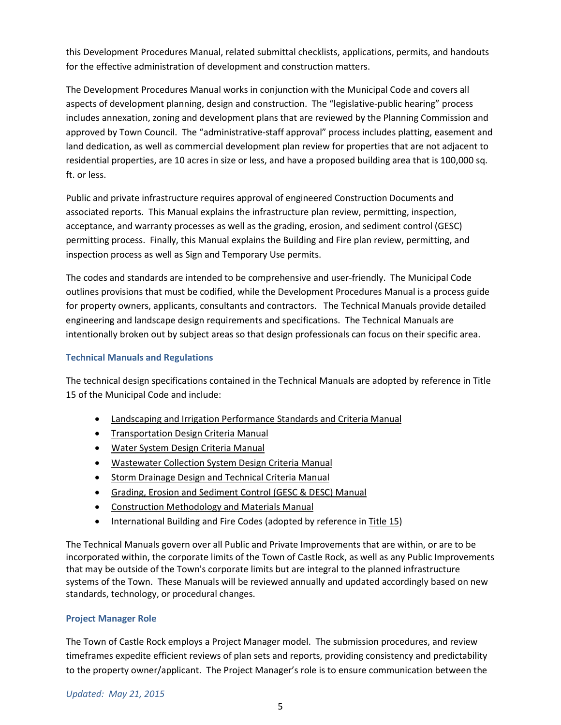this Development Procedures Manual, related submittal checklists, applications, permits, and handouts for the effective administration of development and construction matters.

The Development Procedures Manual works in conjunction with the Municipal Code and covers all aspects of development planning, design and construction. The "legislative-public hearing" process includes annexation, zoning and development plans that are reviewed by the Planning Commission and approved by Town Council. The "administrative-staff approval" process includes platting, easement and land dedication, as well as commercial development plan review for properties that are not adjacent to residential properties, are 10 acres in size or less, and have a proposed building area that is 100,000 sq. ft. or less.

Public and private infrastructure requires approval of engineered Construction Documents and associated reports. This Manual explains the infrastructure plan review, permitting, inspection, acceptance, and warranty processes as well as the grading, erosion, and sediment control (GESC) permitting process. Finally, this Manual explains the Building and Fire plan review, permitting, and inspection process as well as Sign and Temporary Use permits.

The codes and standards are intended to be comprehensive and user-friendly. The Municipal Code outlines provisions that must be codified, while the Development Procedures Manual is a process guide for property owners, applicants, consultants and contractors. The Technical Manuals provide detailed engineering and landscape design requirements and specifications. The Technical Manuals are intentionally broken out by subject areas so that design professionals can focus on their specific area.

## **Technical Manuals and Regulations**

The technical design specifications contained in the Technical Manuals are adopted by reference in Title 15 of the Municipal Code and include:

- Landscaping and Irrigation Performance Standards and Criteria Manual
- Transportation Design Criteria Manual
- Water System Design Criteria Manual
- Wastewater Collection System Design Criteria Manual
- **Storm Drainage Design and Technical Criteria Manual**
- Grading, Erosion and Sediment Control (GESC & DESC) Manual
- Construction Methodology and Materials Manual
- International Building and Fire Codes (adopted by reference in Title 15)

The Technical Manuals govern over all Public and Private Improvements that are within, or are to be incorporated within, the corporate limits of the Town of Castle Rock, as well as any Public Improvements that may be outside of the Town's corporate limits but are integral to the planned infrastructure systems of the Town. These Manuals will be reviewed annually and updated accordingly based on new standards, technology, or procedural changes.

### **Project Manager Role**

The Town of Castle Rock employs a Project Manager model. The submission procedures, and review timeframes expedite efficient reviews of plan sets and reports, providing consistency and predictability to the property owner/applicant. The Project Manager's role is to ensure communication between the

### *Updated: May 21, 2015*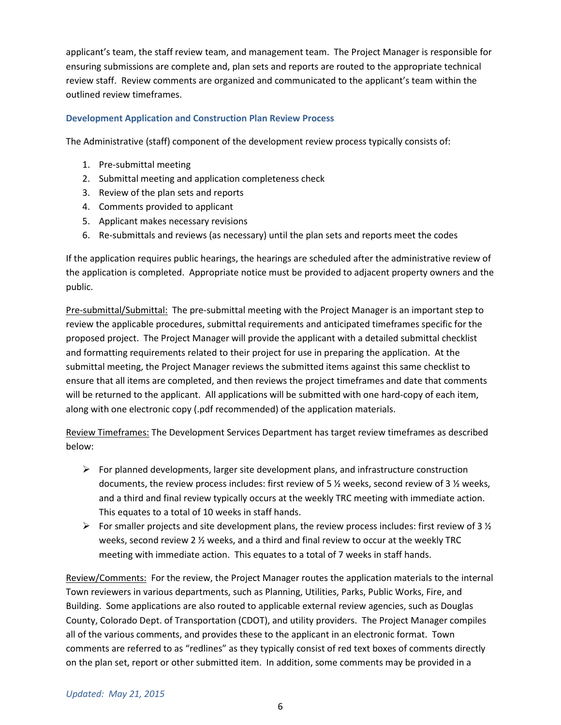applicant's team, the staff review team, and management team. The Project Manager is responsible for ensuring submissions are complete and, plan sets and reports are routed to the appropriate technical review staff. Review comments are organized and communicated to the applicant's team within the outlined review timeframes.

### **Development Application and Construction Plan Review Process**

The Administrative (staff) component of the development review process typically consists of:

- 1. Pre-submittal meeting
- 2. Submittal meeting and application completeness check
- 3. Review of the plan sets and reports
- 4. Comments provided to applicant
- 5. Applicant makes necessary revisions
- 6. Re-submittals and reviews (as necessary) until the plan sets and reports meet the codes

If the application requires public hearings, the hearings are scheduled after the administrative review of the application is completed. Appropriate notice must be provided to adjacent property owners and the public.

Pre-submittal/Submittal: The pre-submittal meeting with the Project Manager is an important step to review the applicable procedures, submittal requirements and anticipated timeframes specific for the proposed project. The Project Manager will provide the applicant with a detailed submittal checklist and formatting requirements related to their project for use in preparing the application. At the submittal meeting, the Project Manager reviews the submitted items against this same checklist to ensure that all items are completed, and then reviews the project timeframes and date that comments will be returned to the applicant. All applications will be submitted with one hard-copy of each item, along with one electronic copy (.pdf recommended) of the application materials.

Review Timeframes: The Development Services Department has target review timeframes as described below:

- $\triangleright$  For planned developments, larger site development plans, and infrastructure construction documents, the review process includes: first review of 5 ½ weeks, second review of 3 ½ weeks, and a third and final review typically occurs at the weekly TRC meeting with immediate action. This equates to a total of 10 weeks in staff hands.
- For smaller projects and site development plans, the review process includes: first review of 3  $\frac{1}{2}$ weeks, second review 2 ½ weeks, and a third and final review to occur at the weekly TRC meeting with immediate action. This equates to a total of 7 weeks in staff hands.

Review/Comments: For the review, the Project Manager routes the application materials to the internal Town reviewers in various departments, such as Planning, Utilities, Parks, Public Works, Fire, and Building. Some applications are also routed to applicable external review agencies, such as Douglas County, Colorado Dept. of Transportation (CDOT), and utility providers. The Project Manager compiles all of the various comments, and provides these to the applicant in an electronic format. Town comments are referred to as "redlines" as they typically consist of red text boxes of comments directly on the plan set, report or other submitted item. In addition, some comments may be provided in a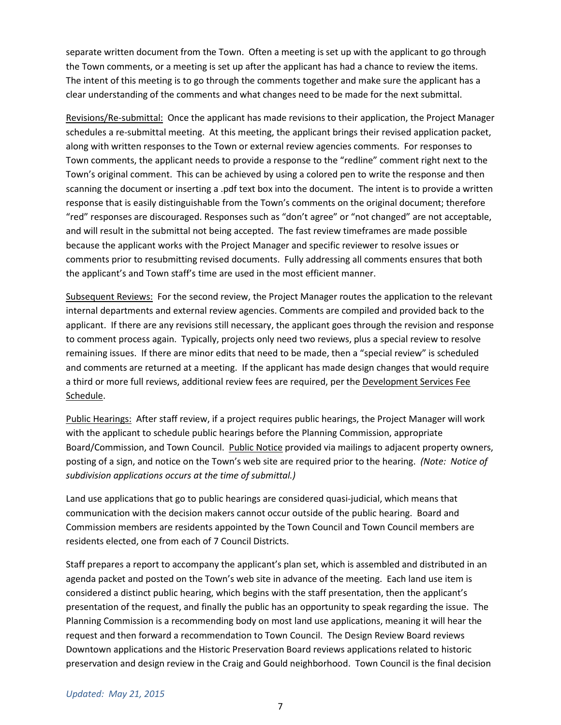separate written document from the Town. Often a meeting is set up with the applicant to go through the Town comments, or a meeting is set up after the applicant has had a chance to review the items. The intent of this meeting is to go through the comments together and make sure the applicant has a clear understanding of the comments and what changes need to be made for the next submittal.

Revisions/Re-submittal: Once the applicant has made revisions to their application, the Project Manager schedules a re-submittal meeting. At this meeting, the applicant brings their revised application packet, along with written responses to the Town or external review agencies comments. For responses to Town comments, the applicant needs to provide a response to the "redline" comment right next to the Town's original comment. This can be achieved by using a colored pen to write the response and then scanning the document or inserting a .pdf text box into the document. The intent is to provide a written response that is easily distinguishable from the Town's comments on the original document; therefore "red" responses are discouraged. Responses such as "don't agree" or "not changed" are not acceptable, and will result in the submittal not being accepted. The fast review timeframes are made possible because the applicant works with the Project Manager and specific reviewer to resolve issues or comments prior to resubmitting revised documents. Fully addressing all comments ensures that both the applicant's and Town staff's time are used in the most efficient manner.

Subsequent Reviews: For the second review, the Project Manager routes the application to the relevant internal departments and external review agencies. Comments are compiled and provided back to the applicant. If there are any revisions still necessary, the applicant goes through the revision and response to comment process again. Typically, projects only need two reviews, plus a special review to resolve remaining issues. If there are minor edits that need to be made, then a "special review" is scheduled and comments are returned at a meeting. If the applicant has made design changes that would require a third or more full reviews, additional review fees are required, per the Development Services Fee Schedule.

Public Hearings: After staff review, if a project requires public hearings, the Project Manager will work with the applicant to schedule public hearings before the Planning Commission, appropriate Board/Commission, and Town Council. Public Notice provided via mailings to adjacent property owners, posting of a sign, and notice on the Town's web site are required prior to the hearing. *(Note: Notice of subdivision applications occurs at the time of submittal.)*

Land use applications that go to public hearings are considered quasi-judicial, which means that communication with the decision makers cannot occur outside of the public hearing. Board and Commission members are residents appointed by the Town Council and Town Council members are residents elected, one from each of 7 Council Districts.

Staff prepares a report to accompany the applicant's plan set, which is assembled and distributed in an agenda packet and posted on the Town's web site in advance of the meeting. Each land use item is considered a distinct public hearing, which begins with the staff presentation, then the applicant's presentation of the request, and finally the public has an opportunity to speak regarding the issue. The Planning Commission is a recommending body on most land use applications, meaning it will hear the request and then forward a recommendation to Town Council. The Design Review Board reviews Downtown applications and the Historic Preservation Board reviews applications related to historic preservation and design review in the Craig and Gould neighborhood. Town Council is the final decision